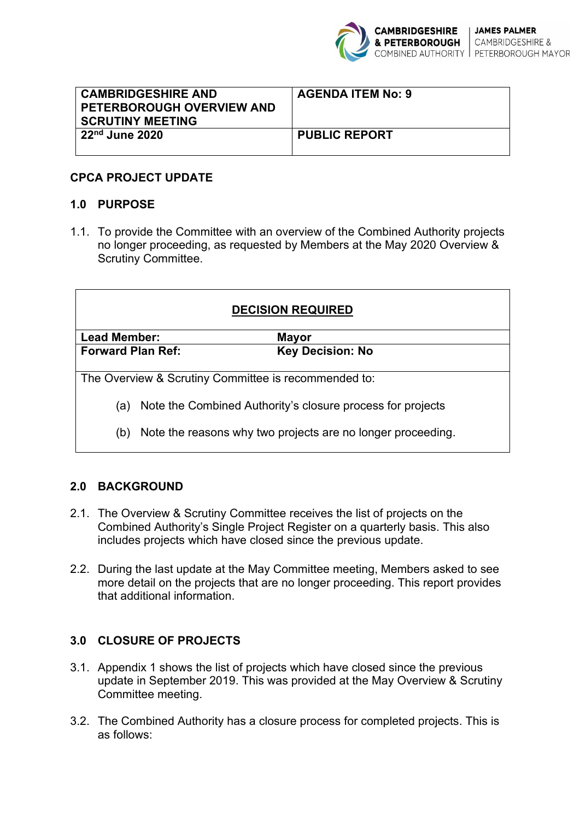

| <b>CAMBRIDGESHIRE AND</b><br><b>PETERBOROUGH OVERVIEW AND</b><br><b>SCRUTINY MEETING</b> | <b>AGENDA ITEM No: 9</b> |
|------------------------------------------------------------------------------------------|--------------------------|
| $22nd$ June 2020                                                                         | <b>PUBLIC REPORT</b>     |

#### **CPCA PROJECT UPDATE**

#### **1.0 PURPOSE**

1.1. To provide the Committee with an overview of the Combined Authority projects no longer proceeding, as requested by Members at the May 2020 Overview & Scrutiny Committee.

| <b>DECISION REQUIRED</b>                                           |  |                         |
|--------------------------------------------------------------------|--|-------------------------|
| <b>Lead Member:</b>                                                |  | Mayor                   |
| <b>Forward Plan Ref:</b>                                           |  | <b>Key Decision: No</b> |
|                                                                    |  |                         |
| The Overview & Scrutiny Committee is recommended to:               |  |                         |
| Note the Combined Authority's closure process for projects<br>(a)  |  |                         |
| Note the reasons why two projects are no longer proceeding.<br>(b) |  |                         |

#### **2.0 BACKGROUND**

- 2.1. The Overview & Scrutiny Committee receives the list of projects on the Combined Authority's Single Project Register on a quarterly basis. This also includes projects which have closed since the previous update.
- 2.2. During the last update at the May Committee meeting, Members asked to see more detail on the projects that are no longer proceeding. This report provides that additional information.

#### **3.0 CLOSURE OF PROJECTS**

- 3.1. Appendix 1 shows the list of projects which have closed since the previous update in September 2019. This was provided at the May Overview & Scrutiny Committee meeting.
- 3.2. The Combined Authority has a closure process for completed projects. This is as follows: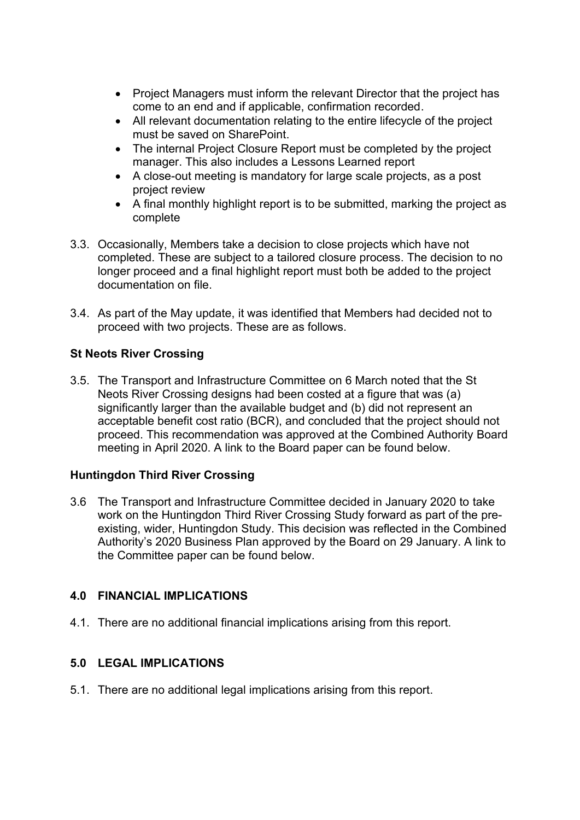- Project Managers must inform the relevant Director that the project has come to an end and if applicable, confirmation recorded.
- All relevant documentation relating to the entire lifecycle of the project must be saved on SharePoint.
- The internal Project Closure Report must be completed by the project manager. This also includes a Lessons Learned report
- A close-out meeting is mandatory for large scale projects, as a post project review
- A final monthly highlight report is to be submitted, marking the project as complete
- 3.3. Occasionally, Members take a decision to close projects which have not completed. These are subject to a tailored closure process. The decision to no longer proceed and a final highlight report must both be added to the project documentation on file.
- 3.4. As part of the May update, it was identified that Members had decided not to proceed with two projects. These are as follows.

# **St Neots River Crossing**

3.5. The Transport and Infrastructure Committee on 6 March noted that the St Neots River Crossing designs had been costed at a figure that was (a) significantly larger than the available budget and (b) did not represent an acceptable benefit cost ratio (BCR), and concluded that the project should not proceed. This recommendation was approved at the Combined Authority Board meeting in April 2020. A link to the Board paper can be found below.

# **Huntingdon Third River Crossing**

3.6 The Transport and Infrastructure Committee decided in January 2020 to take work on the Huntingdon Third River Crossing Study forward as part of the preexisting, wider, Huntingdon Study. This decision was reflected in the Combined Authority's 2020 Business Plan approved by the Board on 29 January. A link to the Committee paper can be found below.

# **4.0 FINANCIAL IMPLICATIONS**

4.1. There are no additional financial implications arising from this report.

# **5.0 LEGAL IMPLICATIONS**

5.1. There are no additional legal implications arising from this report.